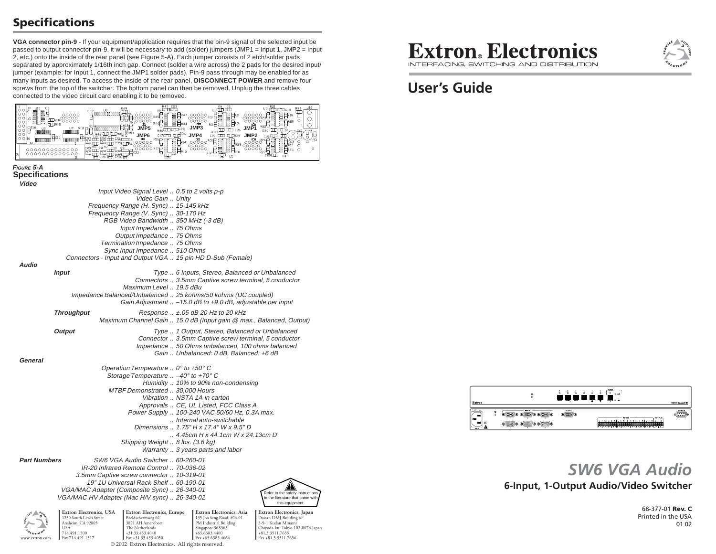# **Specifications**

**VGA connector pin-9** - If your equipment/application requires that the pin-9 signal of the selected input be passed to output connector pin-9, it will be necessary to add (solder) jumpers (JMP1 = Input 1, JMP2 = Input 2, etc.) onto the inside of the rear panel (see Figure 5-A). Each jumper consists of 2 etch/solder pads separated by approximately 1/16th inch gap. Connect (solder a wire across) the 2 pads for the desired input/ jumper (example: for Input 1, connect the JMP1 solder pads). Pin-9 pass through may be enabled for as many inputs as desired. To access the inside of the rear panel, **DISCONNECT POWER** and remove four screws from the top of the switcher. The bottom panel can then be removed. Unplug the three cables connected to the video circuit card enabling it to be removed.

| $\circ$<br>ooddoon    | 00000000000<br><b>ULR34</b> 0000<br><b>LIDRIS</b><br>nnnñnn<br>000000000000     | JMP5<br><sub>840</sub> CD curi<br>JMP <sub>6</sub><br>鸭胃<br>ಂಂಂ                    | <sup>017</sup> ਹਰ <sup>836</sup><br>$\mathsf{g}_{\scriptscriptstyle\mathsf{RIS}}$ | <sub>ui</sub> đồ dồ<br><b>JMP3</b><br>$_{\rm R38}$ $\overline{\rm C}$ $\overline{\rm C}$ $\overline{\rm C}$ $\overline{\rm C}$ $\overline{\rm C}$ $\overline{\rm C}$ $\overline{\rm C}$ $\overline{\rm C}$<br>JMP4<br>can commi compass<br>20000831<br>$\Box_{R29}$<br>U5 | $03 \frac{821}{100}$ CIII C18<br><u>J10</u><br>嵤<br>$\circ$<br>冒βR19<br>O<br>口<br>O |
|-----------------------|---------------------------------------------------------------------------------|------------------------------------------------------------------------------------|-----------------------------------------------------------------------------------|---------------------------------------------------------------------------------------------------------------------------------------------------------------------------------------------------------------------------------------------------------------------------|-------------------------------------------------------------------------------------|
| FIGURE 5-A            |                                                                                 |                                                                                    |                                                                                   |                                                                                                                                                                                                                                                                           |                                                                                     |
| <b>Specifications</b> |                                                                                 |                                                                                    |                                                                                   |                                                                                                                                                                                                                                                                           |                                                                                     |
| Video                 |                                                                                 | Input Video Signal Level  0.5 to 2 volts p-p                                       |                                                                                   |                                                                                                                                                                                                                                                                           |                                                                                     |
|                       |                                                                                 | Video Gain  Unity                                                                  |                                                                                   |                                                                                                                                                                                                                                                                           |                                                                                     |
|                       |                                                                                 | Frequency Range (H. Sync)  15-145 kHz                                              |                                                                                   |                                                                                                                                                                                                                                                                           |                                                                                     |
|                       |                                                                                 | Frequency Range (V. Sync)  30-170 Hz                                               |                                                                                   |                                                                                                                                                                                                                                                                           |                                                                                     |
|                       |                                                                                 | RGB Video Bandwidth  350 MHz (-3 dB)                                               |                                                                                   |                                                                                                                                                                                                                                                                           |                                                                                     |
|                       |                                                                                 | Input Impedance  75 Ohms<br>Output Impedance  75 Ohms                              |                                                                                   |                                                                                                                                                                                                                                                                           |                                                                                     |
|                       |                                                                                 | Termination Impedance  75 Ohms                                                     |                                                                                   |                                                                                                                                                                                                                                                                           |                                                                                     |
|                       |                                                                                 | Sync Input Impedance  510 Ohms                                                     |                                                                                   |                                                                                                                                                                                                                                                                           |                                                                                     |
|                       |                                                                                 | Connectors - Input and Output VGA  15 pin HD D-Sub (Female)                        |                                                                                   |                                                                                                                                                                                                                                                                           |                                                                                     |
| Audio                 |                                                                                 |                                                                                    |                                                                                   |                                                                                                                                                                                                                                                                           |                                                                                     |
|                       | <b>Input</b>                                                                    |                                                                                    |                                                                                   | Type  6 Inputs, Stereo, Balanced or Unbalanced<br>Connectors  3.5mm Captive screw terminal, 5 conductor                                                                                                                                                                   |                                                                                     |
|                       |                                                                                 | Maximum Level  19.5 dBu                                                            |                                                                                   |                                                                                                                                                                                                                                                                           |                                                                                     |
|                       |                                                                                 | Impedance Balanced/Unbalanced  25 kohms/50 kohms (DC coupled)                      |                                                                                   |                                                                                                                                                                                                                                                                           |                                                                                     |
|                       |                                                                                 |                                                                                    |                                                                                   | Gain Adjustment  -15.0 dB to +9.0 dB, adjustable per input                                                                                                                                                                                                                |                                                                                     |
|                       | <b>Throughput</b>                                                               |                                                                                    |                                                                                   | Response  ±.05 dB 20 Hz to 20 kHz                                                                                                                                                                                                                                         |                                                                                     |
|                       |                                                                                 | Maximum Channel Gain  15.0 dB (Input gain @ max., Balanced, Output)                |                                                                                   |                                                                                                                                                                                                                                                                           |                                                                                     |
|                       | Output                                                                          |                                                                                    |                                                                                   | Type  1 Output, Stereo, Balanced or Unbalanced                                                                                                                                                                                                                            |                                                                                     |
|                       |                                                                                 |                                                                                    |                                                                                   | Connector  3.5mm Captive screw terminal, 5 conductor                                                                                                                                                                                                                      |                                                                                     |
|                       |                                                                                 |                                                                                    |                                                                                   | Impedance  50 Ohms unbalanced, 100 ohms balanced                                                                                                                                                                                                                          |                                                                                     |
| General               |                                                                                 |                                                                                    |                                                                                   | Gain  Unbalanced: 0 dB, Balanced: +6 dB                                                                                                                                                                                                                                   |                                                                                     |
|                       |                                                                                 | Operation Temperature  0° to +50° C                                                |                                                                                   |                                                                                                                                                                                                                                                                           |                                                                                     |
|                       |                                                                                 | Storage Temperature $\ldots$ -40° to +70° C                                        |                                                                                   |                                                                                                                                                                                                                                                                           |                                                                                     |
|                       |                                                                                 |                                                                                    |                                                                                   | Humidity  10% to 90% non-condensing                                                                                                                                                                                                                                       |                                                                                     |
|                       |                                                                                 | MTBF Demonstrated  30,000 Hours                                                    |                                                                                   |                                                                                                                                                                                                                                                                           |                                                                                     |
|                       |                                                                                 |                                                                                    |                                                                                   | Vibration  NSTA 1A in carton                                                                                                                                                                                                                                              |                                                                                     |
|                       |                                                                                 |                                                                                    |                                                                                   | Approvals  CE, UL Listed, FCC Class A<br>Power Supply  100-240 VAC 50/60 Hz, 0.3A max.                                                                                                                                                                                    |                                                                                     |
|                       |                                                                                 |                                                                                    |                                                                                   | Internal auto-switchable                                                                                                                                                                                                                                                  |                                                                                     |
|                       |                                                                                 |                                                                                    |                                                                                   | Dimensions  1.75" H x 17.4" W x 9.5" D                                                                                                                                                                                                                                    |                                                                                     |
|                       |                                                                                 |                                                                                    |                                                                                   | $\ldots$ 4.45cm H x 44.1cm W x 24.13cm D                                                                                                                                                                                                                                  |                                                                                     |
|                       |                                                                                 | Shipping Weight  8 lbs. (3.6 kg)                                                   |                                                                                   |                                                                                                                                                                                                                                                                           |                                                                                     |
|                       |                                                                                 |                                                                                    |                                                                                   | Warranty  3 years parts and labor                                                                                                                                                                                                                                         |                                                                                     |
| <b>Part Numbers</b>   |                                                                                 | SW6 VGA Audio Switcher  60-260-01                                                  |                                                                                   |                                                                                                                                                                                                                                                                           |                                                                                     |
|                       |                                                                                 | IR-20 Infrared Remote Control  70-036-02                                           |                                                                                   |                                                                                                                                                                                                                                                                           |                                                                                     |
|                       |                                                                                 | 3.5mm Captive screw connector  10-319-01<br>19" 1U Universal Rack Shelf  60-190-01 |                                                                                   |                                                                                                                                                                                                                                                                           |                                                                                     |
|                       |                                                                                 | VGA/MAC Adapter (Composite Sync)  26-340-01                                        |                                                                                   |                                                                                                                                                                                                                                                                           |                                                                                     |
|                       |                                                                                 | VGA/MAC HV Adapter (Mac H/V sync)  26-340-02                                       |                                                                                   |                                                                                                                                                                                                                                                                           | Refer to the safety instructions<br>in the literature that came with                |
|                       |                                                                                 |                                                                                    |                                                                                   |                                                                                                                                                                                                                                                                           | this equipment.                                                                     |
|                       | <b>Extron Electronics</b> , USA<br>1230 South Lewis Street<br>Anaheim, CA 92805 | Extron Electronics, Europe<br>Beeldschermweg 6C<br>3821 AH Amersfoort              |                                                                                   | Extron Electronics, Asia<br>135 Joo Seng Road, #04-01<br>PM Industrial Building                                                                                                                                                                                           | Extron Electronics, Japan<br>Daisan DMJ Building 6F<br>3-9-1 Kudan Minami           |

**Extron**. Electronics

INTERFACING, SWITCHING AND DISTRIBUTION

# **User's Guide**



# **6-Input, 1-Output Audio/Video Switcher** *SW6 VGA Audio*

68-377-01 **Rev. C** Printed in the USA01 02



1230 South Lewis Street Anaheim, CA 92805 USA 714.491.1500 Fax 714.491.1517

**Extron Electronics, Europe** Beeldschermweg 6C 3821 AH AmersfoortThe Netherlands +31.33.453.4040 Fax +31.33.453.4050 © 2002 Extron Electronics. All rights reserved. Singapore 368363 +65.6383.4400 Fax +65.6383.4664

**Extron Electronics, Japan** Daisan DMJ Building 6F 3-9-1 Kudan Minami Chiyoda-ku, Tokyo 102-0074 Japan +81.3.3511.7655 Fax +81.3.3511.7656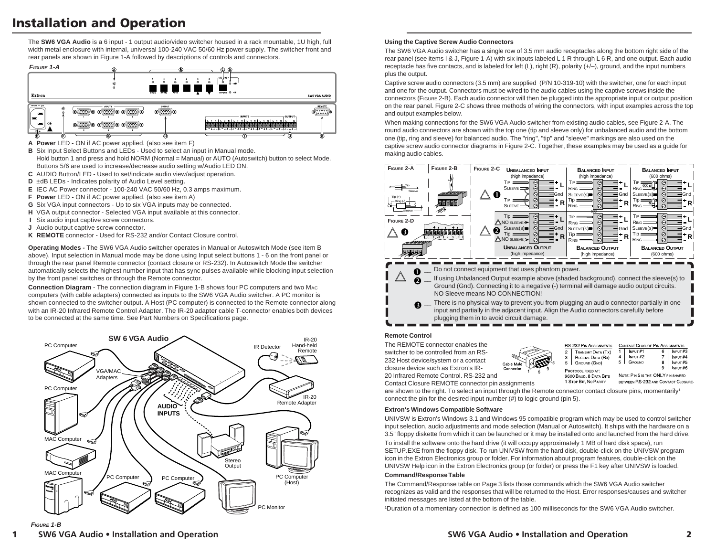# **Installation and Operation**

The **SW6 VGA Audio** is a 6 input - 1 output audio/video switcher housed in a rack mountable, 1U high, full width metal enclosure with internal, universal 100-240 VAC 50/60 Hz power supply. The switcher front and rear panels are shown in Figure 1-A followed by descriptions of controls and connectors.



**A Power** LED - ON if AC power applied. (also see item F)

- **B** Six Input Select Buttons and LEDs Used to select an input in Manual mode. Hold button 1 and press and hold NORM (Normal = Manual) or AUTO (Autoswitch) button to select Mode. Buttons 5/6 are used to increase/decrease audio setting w/Audio LED ON.
- **C** AUDIO Button/LED Used to set/indicate audio view/adjust operation.
- **D** ±dB LEDs Indicates polarity of Audio Level setting.
- **E** IEC AC Power connector 100-240 VAC 50/60 Hz, 0.3 amps maximum.
- **F Power** LED ON if AC power applied. (also see item A)
- **G** Six VGA input connectors Up to six VGA inputs may be connected.
- **H** VGA output connector Selected VGA input available at this connector.
- **I** Six audio input captive screw connectors.
- **J** Audio output captive screw connector.
- **K REMOTE** connector Used for RS-232 and/or Contact Closure control.

**Operating Modes -** The SW6 VGA Audio switcher operates in Manual or Autoswitch Mode (see item B above). Input selection in Manual mode may be done using Input select buttons 1 - 6 on the front panel or through the rear panel Remote connector (contact closure or RS-232). In Autoswitch Mode the switcher automatically selects the highest number input that has sync pulses available while blocking input selection by the front panel switches or through the Remote connector.

**Connection Diagram** - The connection diagram in Figure 1-B shows four PC computers and two MAC computers (with cable adapters) connected as inputs to the SW6 VGA Audio switcher. A PC monitor is shown connected to the switcher output. A Host (PC computer) is connected to the Remote connector along with an IR-20 Infrared Remote Control Adapter. The IR-20 adapter cable T-connector enables both devices to be connected at the same time. See Part Numbers on Specifications page.



### **Using the Captive Screw Audio Connectors**

The SW6 VGA Audio switcher has a single row of 3.5 mm audio receptacles along the bottom right side of the rear panel (see items I & J, Figure 1-A) with six inputs labeled L 1 R through L 6 R, and one output. Each audio receptacle has five contacts, and is labeled for left  $(L)$ , right  $(R)$ , polarity  $(+/-)$ , ground, and the input numbers plus the output.

Captive screw audio connectors (3.5 mm) are supplied (P/N 10-319-10) with the switcher, one for each input and one for the output. Connectors must be wired to the audio cables using the captive screws inside the connectors (FIGURE 2-B). Each audio connector will then be plugged into the appropriate input or output position on the rear panel. Figure 2-C shows three methods of wiring the connectors, with input examples across the top and output examples below.

When making connections for the SW6 VGA Audio switcher from existing audio cables, see Figure 2-A. The round audio connectors are shown with the top one (tip and sleeve only) for unbalanced audio and the bottom one (tip, ring and sleeve) for balanced audio. The "ring", "tip" and "sleeve" markings are also used on the captive screw audio connector diagrams in Figure 2-C. Together, these examples may be used as a guide for making audio cables.



# **Remote Control**

The REMOTE connector enables the switcher to be controlled from an RS-232 Host device/system or a contact closure device such as Extron's IR-20 Infrared Remote Control. RS-232 and



| <b>RS-232 PIN ASSIGNMENTS</b> |                    | <b>CONTACT CLOSURE PIN ASSIGNMENTS</b> |        |   |               |  |  |
|-------------------------------|--------------------|----------------------------------------|--------|---|---------------|--|--|
| $\overline{2}$                | TRANSMIT DATA (TX) |                                        | NPUT#1 |   | NPUT#3        |  |  |
| $\mathbf{3}$                  | RECEIVE DATA (Rx)  |                                        | NPUT#2 |   | NPUT#4        |  |  |
| 5                             | GROUND (GND)       |                                        | GROUND | 8 | $N$ NPUT $#5$ |  |  |
| PROTOCOL FIXED AT:            |                    |                                        |        |   | NPUT#6        |  |  |
| 9600 BAUD, 8 DATA BITS        |                    | NOTE: PIN 5 IS THE ONLY PIN SHARED     |        |   |               |  |  |
| 1 STOP BIT. NO PARITY         |                    | BETWEEN RS-232 AND CONTACT CLOSUE      |        |   |               |  |  |

Contact Closure REMOTE connector pin assignments

are shown to the right. To select an input through the Remote connector contact closure pins, momentarily<sup>1</sup> connect the pin for the desired input number (#) to logic ground (pin 5).

### **Extron's Windows Compatible Software**

UNIVSW is Extron's Windows 3.1 and Windows 95 compatible program which may be used to control switcher input selection, audio adjustments and mode selection (Manual or Autoswitch). It ships with the hardware on a 3.5" floppy diskette from which it can be launched or it may be installed onto and launched from the hard drive. To install the software onto the hard drive (it will occupy approximately 1 MB of hard disk space), run SETUP.EXE from the floppy disk. To run UNIVSW from the hard disk, double-click on the UNIVSW program icon in the Extron Electronics group or folder. For information about program features, double-click on the UNIVSW Help icon in the Extron Electronics group (or folder) or press the F1 key after UNIVSW is loaded.

#### **Command/Response Table**

The Command/Response table on Page 3 lists those commands which the SW6 VGA Audio switcher recognizes as valid and the responses that will be returned to the Host. Error responses/causes and switcher initiated messages are listed at the bottom of the table.

1Duration of a momentary connection is defined as 100 milliseconds for the SW6 VGA Audio switcher.

# **FIGURE 1-B**

**1**